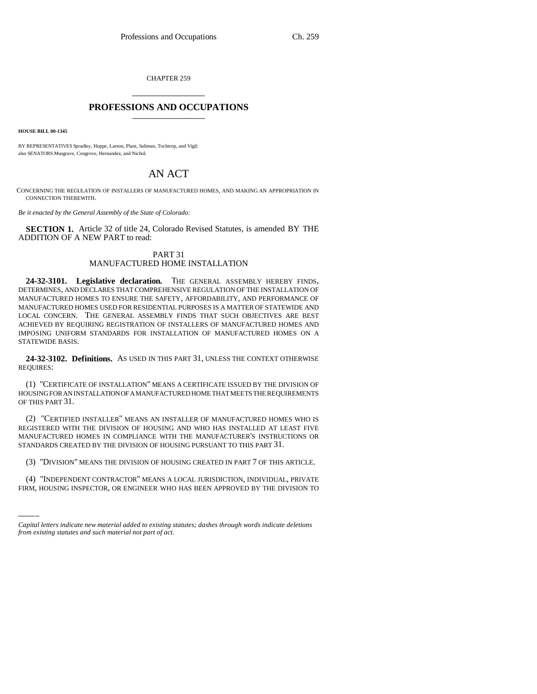CHAPTER 259 \_\_\_\_\_\_\_\_\_\_\_\_\_\_\_

## **PROFESSIONS AND OCCUPATIONS** \_\_\_\_\_\_\_\_\_\_\_\_\_\_\_

**HOUSE BILL 00-1345** 

BY REPRESENTATIVES Spradley, Hoppe, Larson, Plant, Saliman, Tochtrop, and Vigil; also SENATORS Musgrave, Congrove, Hernandez, and Nichol.

# AN ACT

CONCERNING THE REGULATION OF INSTALLERS OF MANUFACTURED HOMES, AND MAKING AN APPROPRIATION IN CONNECTION THEREWITH.

*Be it enacted by the General Assembly of the State of Colorado:*

**SECTION 1.** Article 32 of title 24, Colorado Revised Statutes, is amended BY THE ADDITION OF A NEW PART to read:

## PART 31 MANUFACTURED HOME INSTALLATION

**24-32-3101. Legislative declaration.** THE GENERAL ASSEMBLY HEREBY FINDS, DETERMINES, AND DECLARES THAT COMPREHENSIVE REGULATION OF THE INSTALLATION OF MANUFACTURED HOMES TO ENSURE THE SAFETY, AFFORDABILITY, AND PERFORMANCE OF MANUFACTURED HOMES USED FOR RESIDENTIAL PURPOSES IS A MATTER OF STATEWIDE AND LOCAL CONCERN. THE GENERAL ASSEMBLY FINDS THAT SUCH OBJECTIVES ARE BEST ACHIEVED BY REQUIRING REGISTRATION OF INSTALLERS OF MANUFACTURED HOMES AND IMPOSING UNIFORM STANDARDS FOR INSTALLATION OF MANUFACTURED HOMES ON A STATEWIDE BASIS.

**24-32-3102. Definitions.** AS USED IN THIS PART 31, UNLESS THE CONTEXT OTHERWISE REQUIRES:

(1) "CERTIFICATE OF INSTALLATION" MEANS A CERTIFICATE ISSUED BY THE DIVISION OF HOUSING FOR AN INSTALLATION OF A MANUFACTURED HOME THAT MEETS THE REQUIREMENTS OF THIS PART 31.

(2) "CERTIFIED INSTALLER" MEANS AN INSTALLER OF MANUFACTURED HOMES WHO IS REGISTERED WITH THE DIVISION OF HOUSING AND WHO HAS INSTALLED AT LEAST FIVE MANUFACTURED HOMES IN COMPLIANCE WITH THE MANUFACTURER'S INSTRUCTIONS OR STANDARDS CREATED BY THE DIVISION OF HOUSING PURSUANT TO THIS PART 31.

(3) "DIVISION" MEANS THE DIVISION OF HOUSING CREATED IN PART 7 OF THIS ARTICLE.

(4) "INDEPENDENT CONTRACTOR" MEANS A LOCAL JURISDICTION, INDIVIDUAL, PRIVATE FIRM, HOUSING INSPECTOR, OR ENGINEER WHO HAS BEEN APPROVED BY THE DIVISION TO

*Capital letters indicate new material added to existing statutes; dashes through words indicate deletions from existing statutes and such material not part of act.*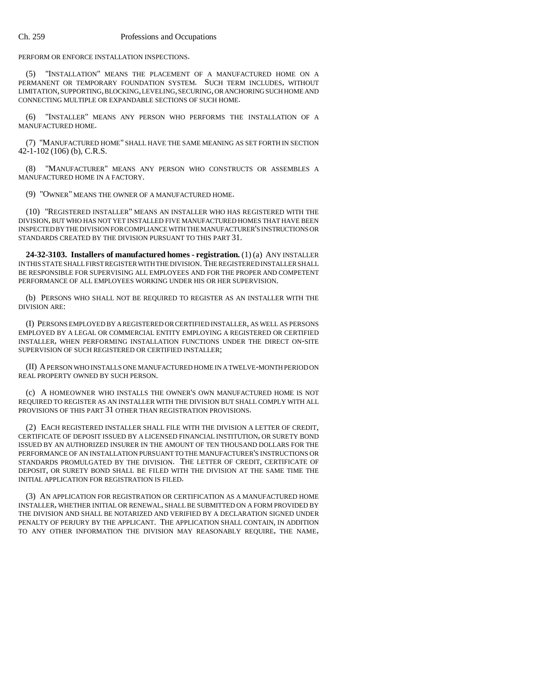PERFORM OR ENFORCE INSTALLATION INSPECTIONS.

(5) "INSTALLATION" MEANS THE PLACEMENT OF A MANUFACTURED HOME ON A PERMANENT OR TEMPORARY FOUNDATION SYSTEM. SUCH TERM INCLUDES, WITHOUT LIMITATION, SUPPORTING, BLOCKING, LEVELING, SECURING, OR ANCHORING SUCH HOME AND CONNECTING MULTIPLE OR EXPANDABLE SECTIONS OF SUCH HOME.

(6) "INSTALLER" MEANS ANY PERSON WHO PERFORMS THE INSTALLATION OF A MANUFACTURED HOME.

(7) "MANUFACTURED HOME" SHALL HAVE THE SAME MEANING AS SET FORTH IN SECTION 42-1-102 (106) (b), C.R.S.

(8) "MANUFACTURER" MEANS ANY PERSON WHO CONSTRUCTS OR ASSEMBLES A MANUFACTURED HOME IN A FACTORY.

(9) "OWNER" MEANS THE OWNER OF A MANUFACTURED HOME.

(10) "REGISTERED INSTALLER" MEANS AN INSTALLER WHO HAS REGISTERED WITH THE DIVISION, BUT WHO HAS NOT YET INSTALLED FIVE MANUFACTURED HOMES THAT HAVE BEEN INSPECTED BY THE DIVISION FOR COMPLIANCE WITH THE MANUFACTURER'S INSTRUCTIONS OR STANDARDS CREATED BY THE DIVISION PURSUANT TO THIS PART 31.

**24-32-3103. Installers of manufactured homes - registration.** (1) (a) ANY INSTALLER IN THIS STATE SHALL FIRST REGISTER WITH THE DIVISION. THE REGISTERED INSTALLER SHALL BE RESPONSIBLE FOR SUPERVISING ALL EMPLOYEES AND FOR THE PROPER AND COMPETENT PERFORMANCE OF ALL EMPLOYEES WORKING UNDER HIS OR HER SUPERVISION.

(b) PERSONS WHO SHALL NOT BE REQUIRED TO REGISTER AS AN INSTALLER WITH THE DIVISION ARE:

(I) PERSONS EMPLOYED BY A REGISTERED OR CERTIFIED INSTALLER, AS WELL AS PERSONS EMPLOYED BY A LEGAL OR COMMERCIAL ENTITY EMPLOYING A REGISTERED OR CERTIFIED INSTALLER, WHEN PERFORMING INSTALLATION FUNCTIONS UNDER THE DIRECT ON-SITE SUPERVISION OF SUCH REGISTERED OR CERTIFIED INSTALLER;

(II) A PERSON WHO INSTALLS ONE MANUFACTURED HOME IN A TWELVE-MONTH PERIOD ON REAL PROPERTY OWNED BY SUCH PERSON.

(c) A HOMEOWNER WHO INSTALLS THE OWNER'S OWN MANUFACTURED HOME IS NOT REQUIRED TO REGISTER AS AN INSTALLER WITH THE DIVISION BUT SHALL COMPLY WITH ALL PROVISIONS OF THIS PART 31 OTHER THAN REGISTRATION PROVISIONS.

(2) EACH REGISTERED INSTALLER SHALL FILE WITH THE DIVISION A LETTER OF CREDIT, CERTIFICATE OF DEPOSIT ISSUED BY A LICENSED FINANCIAL INSTITUTION, OR SURETY BOND ISSUED BY AN AUTHORIZED INSURER IN THE AMOUNT OF TEN THOUSAND DOLLARS FOR THE PERFORMANCE OF AN INSTALLATION PURSUANT TO THE MANUFACTURER'S INSTRUCTIONS OR STANDARDS PROMULGATED BY THE DIVISION. THE LETTER OF CREDIT, CERTIFICATE OF DEPOSIT, OR SURETY BOND SHALL BE FILED WITH THE DIVISION AT THE SAME TIME THE INITIAL APPLICATION FOR REGISTRATION IS FILED.

(3) AN APPLICATION FOR REGISTRATION OR CERTIFICATION AS A MANUFACTURED HOME INSTALLER, WHETHER INITIAL OR RENEWAL, SHALL BE SUBMITTED ON A FORM PROVIDED BY THE DIVISION AND SHALL BE NOTARIZED AND VERIFIED BY A DECLARATION SIGNED UNDER PENALTY OF PERJURY BY THE APPLICANT. THE APPLICATION SHALL CONTAIN, IN ADDITION TO ANY OTHER INFORMATION THE DIVISION MAY REASONABLY REQUIRE, THE NAME,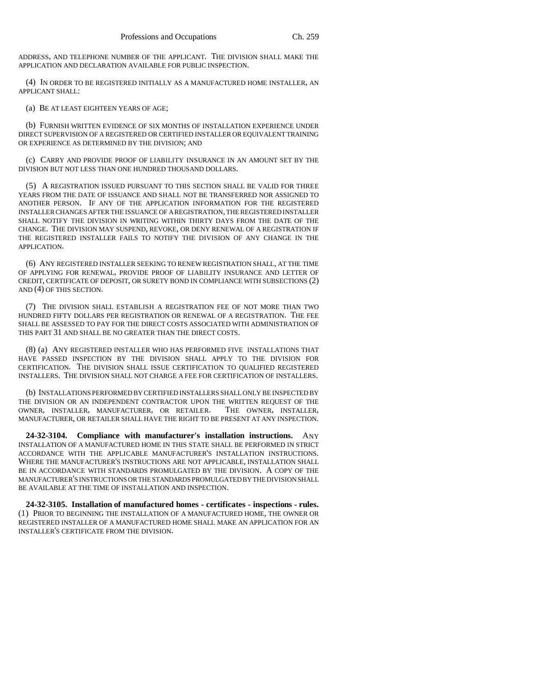ADDRESS, AND TELEPHONE NUMBER OF THE APPLICANT. THE DIVISION SHALL MAKE THE APPLICATION AND DECLARATION AVAILABLE FOR PUBLIC INSPECTION.

(4) IN ORDER TO BE REGISTERED INITIALLY AS A MANUFACTURED HOME INSTALLER, AN APPLICANT SHALL:

(a) BE AT LEAST EIGHTEEN YEARS OF AGE;

(b) FURNISH WRITTEN EVIDENCE OF SIX MONTHS OF INSTALLATION EXPERIENCE UNDER DIRECT SUPERVISION OF A REGISTERED OR CERTIFIED INSTALLER OR EQUIVALENT TRAINING OR EXPERIENCE AS DETERMINED BY THE DIVISION; AND

(c) CARRY AND PROVIDE PROOF OF LIABILITY INSURANCE IN AN AMOUNT SET BY THE DIVISION BUT NOT LESS THAN ONE HUNDRED THOUSAND DOLLARS.

(5) A REGISTRATION ISSUED PURSUANT TO THIS SECTION SHALL BE VALID FOR THREE YEARS FROM THE DATE OF ISSUANCE AND SHALL NOT BE TRANSFERRED NOR ASSIGNED TO ANOTHER PERSON. IF ANY OF THE APPLICATION INFORMATION FOR THE REGISTERED INSTALLER CHANGES AFTER THE ISSUANCE OF A REGISTRATION, THE REGISTERED INSTALLER SHALL NOTIFY THE DIVISION IN WRITING WITHIN THIRTY DAYS FROM THE DATE OF THE CHANGE. THE DIVISION MAY SUSPEND, REVOKE, OR DENY RENEWAL OF A REGISTRATION IF THE REGISTERED INSTALLER FAILS TO NOTIFY THE DIVISION OF ANY CHANGE IN THE APPLICATION.

(6) ANY REGISTERED INSTALLER SEEKING TO RENEW REGISTRATION SHALL, AT THE TIME OF APPLYING FOR RENEWAL, PROVIDE PROOF OF LIABILITY INSURANCE AND LETTER OF CREDIT, CERTIFICATE OF DEPOSIT, OR SURETY BOND IN COMPLIANCE WITH SUBSECTIONS (2) AND (4) OF THIS SECTION.

(7) THE DIVISION SHALL ESTABLISH A REGISTRATION FEE OF NOT MORE THAN TWO HUNDRED FIFTY DOLLARS PER REGISTRATION OR RENEWAL OF A REGISTRATION. THE FEE SHALL BE ASSESSED TO PAY FOR THE DIRECT COSTS ASSOCIATED WITH ADMINISTRATION OF THIS PART 31 AND SHALL BE NO GREATER THAN THE DIRECT COSTS.

(8) (a) ANY REGISTERED INSTALLER WHO HAS PERFORMED FIVE INSTALLATIONS THAT HAVE PASSED INSPECTION BY THE DIVISION SHALL APPLY TO THE DIVISION FOR CERTIFICATION. THE DIVISION SHALL ISSUE CERTIFICATION TO QUALIFIED REGISTERED INSTALLERS. THE DIVISION SHALL NOT CHARGE A FEE FOR CERTIFICATION OF INSTALLERS.

(b) INSTALLATIONS PERFORMED BY CERTIFIED INSTALLERS SHALL ONLY BE INSPECTED BY THE DIVISION OR AN INDEPENDENT CONTRACTOR UPON THE WRITTEN REQUEST OF THE OWNER. INSTALLER, MANUFACTURER, OR RETAILER. THE OWNER, INSTALLER, OWNER, INSTALLER, MANUFACTURER, OR RETAILER, MANUFACTURER, OR RETAILER SHALL HAVE THE RIGHT TO BE PRESENT AT ANY INSPECTION.

**24-32-3104. Compliance with manufacturer's installation instructions.** ANY INSTALLATION OF A MANUFACTURED HOME IN THIS STATE SHALL BE PERFORMED IN STRICT ACCORDANCE WITH THE APPLICABLE MANUFACTURER'S INSTALLATION INSTRUCTIONS. WHERE THE MANUFACTURER'S INSTRUCTIONS ARE NOT APPLICABLE, INSTALLATION SHALL BE IN ACCORDANCE WITH STANDARDS PROMULGATED BY THE DIVISION. A COPY OF THE MANUFACTURER'S INSTRUCTIONS OR THE STANDARDS PROMULGATED BY THE DIVISION SHALL BE AVAILABLE AT THE TIME OF INSTALLATION AND INSPECTION.

**24-32-3105. Installation of manufactured homes - certificates - inspections - rules.** (1) PRIOR TO BEGINNING THE INSTALLATION OF A MANUFACTURED HOME, THE OWNER OR REGISTERED INSTALLER OF A MANUFACTURED HOME SHALL MAKE AN APPLICATION FOR AN INSTALLER'S CERTIFICATE FROM THE DIVISION.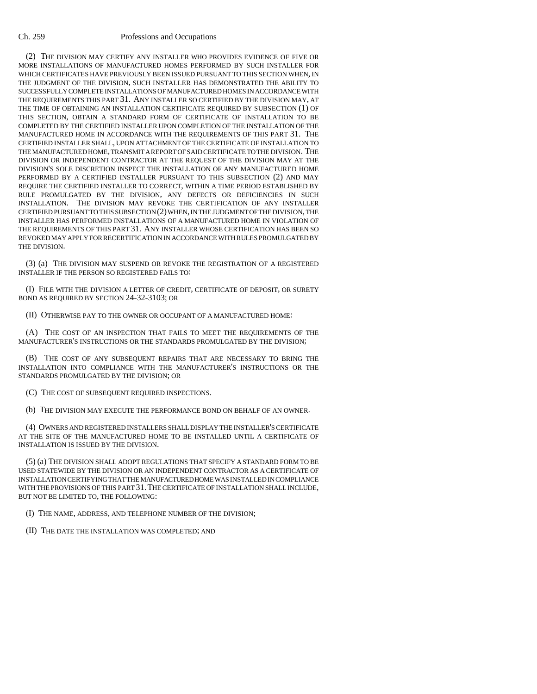### Ch. 259 Professions and Occupations

(2) THE DIVISION MAY CERTIFY ANY INSTALLER WHO PROVIDES EVIDENCE OF FIVE OR MORE INSTALLATIONS OF MANUFACTURED HOMES PERFORMED BY SUCH INSTALLER FOR WHICH CERTIFICATES HAVE PREVIOUSLY BEEN ISSUED PURSUANT TO THIS SECTION WHEN, IN THE JUDGMENT OF THE DIVISION, SUCH INSTALLER HAS DEMONSTRATED THE ABILITY TO SUCCESSFULLY COMPLETE INSTALLATIONS OF MANUFACTURED HOMES IN ACCORDANCE WITH THE REQUIREMENTS THIS PART 31. ANY INSTALLER SO CERTIFIED BY THE DIVISION MAY, AT THE TIME OF OBTAINING AN INSTALLATION CERTIFICATE REQUIRED BY SUBSECTION (1) OF THIS SECTION, OBTAIN A STANDARD FORM OF CERTIFICATE OF INSTALLATION TO BE COMPLETED BY THE CERTIFIED INSTALLER UPON COMPLETION OF THE INSTALLATION OF THE MANUFACTURED HOME IN ACCORDANCE WITH THE REQUIREMENTS OF THIS PART 31. THE CERTIFIED INSTALLER SHALL, UPON ATTACHMENT OF THE CERTIFICATE OF INSTALLATION TO THE MANUFACTURED HOME, TRANSMIT A REPORT OF SAID CERTIFICATE TO THE DIVISION. THE DIVISION OR INDEPENDENT CONTRACTOR AT THE REQUEST OF THE DIVISION MAY AT THE DIVISION'S SOLE DISCRETION INSPECT THE INSTALLATION OF ANY MANUFACTURED HOME PERFORMED BY A CERTIFIED INSTALLER PURSUANT TO THIS SUBSECTION (2) AND MAY REQUIRE THE CERTIFIED INSTALLER TO CORRECT, WITHIN A TIME PERIOD ESTABLISHED BY RULE PROMULGATED BY THE DIVISION, ANY DEFECTS OR DEFICIENCIES IN SUCH INSTALLATION. THE DIVISION MAY REVOKE THE CERTIFICATION OF ANY INSTALLER CERTIFIED PURSUANT TO THIS SUBSECTION (2) WHEN, IN THE JUDGMENT OF THE DIVISION, THE INSTALLER HAS PERFORMED INSTALLATIONS OF A MANUFACTURED HOME IN VIOLATION OF THE REQUIREMENTS OF THIS PART 31. ANY INSTALLER WHOSE CERTIFICATION HAS BEEN SO REVOKED MAY APPLY FOR RECERTIFICATION IN ACCORDANCE WITH RULES PROMULGATED BY THE DIVISION.

(3) (a) THE DIVISION MAY SUSPEND OR REVOKE THE REGISTRATION OF A REGISTERED INSTALLER IF THE PERSON SO REGISTERED FAILS TO:

(I) FILE WITH THE DIVISION A LETTER OF CREDIT, CERTIFICATE OF DEPOSIT, OR SURETY BOND AS REQUIRED BY SECTION 24-32-3103; OR

(II) OTHERWISE PAY TO THE OWNER OR OCCUPANT OF A MANUFACTURED HOME:

(A) THE COST OF AN INSPECTION THAT FAILS TO MEET THE REQUIREMENTS OF THE MANUFACTURER'S INSTRUCTIONS OR THE STANDARDS PROMULGATED BY THE DIVISION;

(B) THE COST OF ANY SUBSEQUENT REPAIRS THAT ARE NECESSARY TO BRING THE INSTALLATION INTO COMPLIANCE WITH THE MANUFACTURER'S INSTRUCTIONS OR THE STANDARDS PROMULGATED BY THE DIVISION; OR

(C) THE COST OF SUBSEQUENT REQUIRED INSPECTIONS.

(b) THE DIVISION MAY EXECUTE THE PERFORMANCE BOND ON BEHALF OF AN OWNER.

(4) OWNERS AND REGISTERED INSTALLERS SHALL DISPLAY THE INSTALLER'S CERTIFICATE AT THE SITE OF THE MANUFACTURED HOME TO BE INSTALLED UNTIL A CERTIFICATE OF INSTALLATION IS ISSUED BY THE DIVISION.

(5) (a) THE DIVISION SHALL ADOPT REGULATIONS THAT SPECIFY A STANDARD FORM TO BE USED STATEWIDE BY THE DIVISION OR AN INDEPENDENT CONTRACTOR AS A CERTIFICATE OF INSTALLATION CERTIFYING THAT THE MANUFACTURED HOME WAS INSTALLED IN COMPLIANCE WITH THE PROVISIONS OF THIS PART 31.THE CERTIFICATE OF INSTALLATION SHALL INCLUDE, BUT NOT BE LIMITED TO, THE FOLLOWING:

(I) THE NAME, ADDRESS, AND TELEPHONE NUMBER OF THE DIVISION;

(II) THE DATE THE INSTALLATION WAS COMPLETED; AND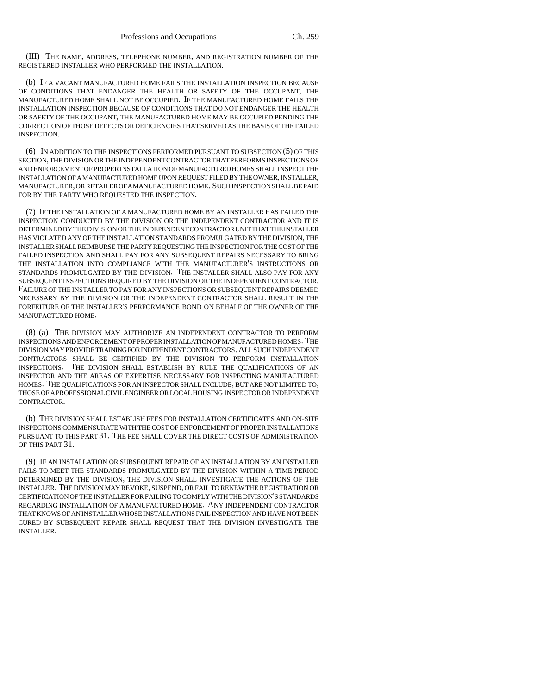(III) THE NAME, ADDRESS, TELEPHONE NUMBER, AND REGISTRATION NUMBER OF THE REGISTERED INSTALLER WHO PERFORMED THE INSTALLATION.

(b) IF A VACANT MANUFACTURED HOME FAILS THE INSTALLATION INSPECTION BECAUSE OF CONDITIONS THAT ENDANGER THE HEALTH OR SAFETY OF THE OCCUPANT, THE MANUFACTURED HOME SHALL NOT BE OCCUPIED. IF THE MANUFACTURED HOME FAILS THE INSTALLATION INSPECTION BECAUSE OF CONDITIONS THAT DO NOT ENDANGER THE HEALTH OR SAFETY OF THE OCCUPANT, THE MANUFACTURED HOME MAY BE OCCUPIED PENDING THE CORRECTION OF THOSE DEFECTS OR DEFICIENCIES THAT SERVED AS THE BASIS OF THE FAILED INSPECTION.

(6) IN ADDITION TO THE INSPECTIONS PERFORMED PURSUANT TO SUBSECTION (5) OF THIS SECTION, THE DIVISION OR THE INDEPENDENT CONTRACTOR THAT PERFORMS INSPECTIONS OF AND ENFORCEMENT OF PROPER INSTALLATION OF MANUFACTURED HOMES SHALL INSPECT THE INSTALLATION OF A MANUFACTURED HOME UPON REQUEST FILED BY THE OWNER, INSTALLER, MANUFACTURER, OR RETAILER OF A MANUFACTURED HOME. SUCH INSPECTION SHALL BE PAID FOR BY THE PARTY WHO REOUESTED THE INSPECTION.

(7) IF THE INSTALLATION OF A MANUFACTURED HOME BY AN INSTALLER HAS FAILED THE INSPECTION CONDUCTED BY THE DIVISION OR THE INDEPENDENT CONTRACTOR AND IT IS DETERMINED BY THE DIVISION OR THE INDEPENDENT CONTRACTOR UNIT THAT THE INSTALLER HAS VIOLATED ANY OF THE INSTALLATION STANDARDS PROMULGATED BY THE DIVISION, THE INSTALLER SHALL REIMBURSE THE PARTY REQUESTING THE INSPECTION FOR THE COST OF THE FAILED INSPECTION AND SHALL PAY FOR ANY SUBSEQUENT REPAIRS NECESSARY TO BRING THE INSTALLATION INTO COMPLIANCE WITH THE MANUFACTURER'S INSTRUCTIONS OR STANDARDS PROMULGATED BY THE DIVISION. THE INSTALLER SHALL ALSO PAY FOR ANY SUBSEQUENT INSPECTIONS REQUIRED BY THE DIVISION OR THE INDEPENDENT CONTRACTOR. FAILURE OF THE INSTALLER TO PAY FOR ANY INSPECTIONS OR SUBSEQUENT REPAIRS DEEMED NECESSARY BY THE DIVISION OR THE INDEPENDENT CONTRACTOR SHALL RESULT IN THE FORFEITURE OF THE INSTALLER'S PERFORMANCE BOND ON BEHALF OF THE OWNER OF THE MANUFACTURED HOME.

(8) (a) THE DIVISION MAY AUTHORIZE AN INDEPENDENT CONTRACTOR TO PERFORM INSPECTIONS AND ENFORCEMENT OF PROPER INSTALLATION OF MANUFACTURED HOMES. THE DIVISION MAY PROVIDE TRAINING FOR INDEPENDENT CONTRACTORS. ALL SUCH INDEPENDENT CONTRACTORS SHALL BE CERTIFIED BY THE DIVISION TO PERFORM INSTALLATION INSPECTIONS. THE DIVISION SHALL ESTABLISH BY RULE THE QUALIFICATIONS OF AN INSPECTOR AND THE AREAS OF EXPERTISE NECESSARY FOR INSPECTING MANUFACTURED HOMES. THE QUALIFICATIONS FOR AN INSPECTOR SHALL INCLUDE, BUT ARE NOT LIMITED TO, THOSE OF A PROFESSIONAL CIVIL ENGINEER OR LOCAL HOUSING INSPECTOR OR INDEPENDENT CONTRACTOR.

(b) THE DIVISION SHALL ESTABLISH FEES FOR INSTALLATION CERTIFICATES AND ON-SITE INSPECTIONS COMMENSURATE WITH THE COST OF ENFORCEMENT OF PROPER INSTALLATIONS PURSUANT TO THIS PART 31. THE FEE SHALL COVER THE DIRECT COSTS OF ADMINISTRATION OF THIS PART 31.

(9) IF AN INSTALLATION OR SUBSEQUENT REPAIR OF AN INSTALLATION BY AN INSTALLER FAILS TO MEET THE STANDARDS PROMULGATED BY THE DIVISION WITHIN A TIME PERIOD DETERMINED BY THE DIVISION, THE DIVISION SHALL INVESTIGATE THE ACTIONS OF THE INSTALLER. THE DIVISION MAY REVOKE, SUSPEND, OR FAIL TO RENEW THE REGISTRATION OR CERTIFICATION OF THE INSTALLER FOR FAILING TO COMPLY WITH THE DIVISION'S STANDARDS REGARDING INSTALLATION OF A MANUFACTURED HOME. ANY INDEPENDENT CONTRACTOR THAT KNOWS OF AN INSTALLER WHOSE INSTALLATIONS FAIL INSPECTION AND HAVE NOT BEEN CURED BY SUBSEQUENT REPAIR SHALL REQUEST THAT THE DIVISION INVESTIGATE THE INSTALLER.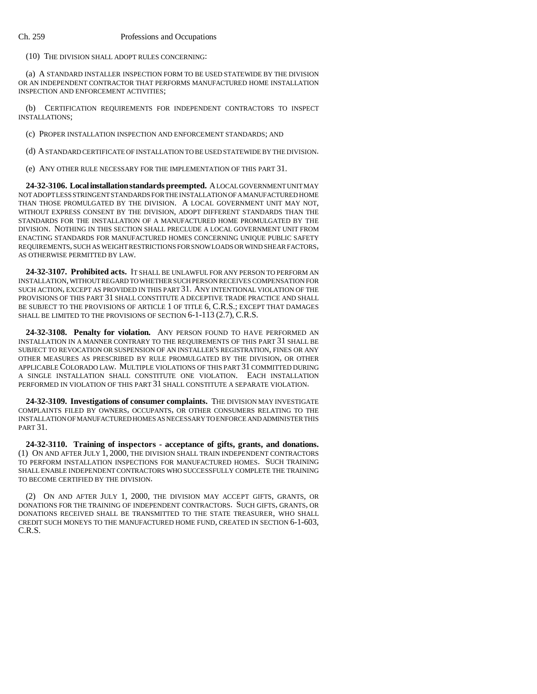#### Ch. 259 Professions and Occupations

(10) THE DIVISION SHALL ADOPT RULES CONCERNING:

(a) A STANDARD INSTALLER INSPECTION FORM TO BE USED STATEWIDE BY THE DIVISION OR AN INDEPENDENT CONTRACTOR THAT PERFORMS MANUFACTURED HOME INSTALLATION INSPECTION AND ENFORCEMENT ACTIVITIES;

(b) CERTIFICATION REQUIREMENTS FOR INDEPENDENT CONTRACTORS TO INSPECT INSTALLATIONS;

(c) PROPER INSTALLATION INSPECTION AND ENFORCEMENT STANDARDS; AND

(d) A STANDARD CERTIFICATE OF INSTALLATION TO BE USED STATEWIDE BY THE DIVISION.

(e) ANY OTHER RULE NECESSARY FOR THE IMPLEMENTATION OF THIS PART 31.

**24-32-3106. Local installation standards preempted.** A LOCAL GOVERNMENT UNIT MAY NOT ADOPT LESS STRINGENT STANDARDS FOR THE INSTALLATION OF A MANUFACTURED HOME THAN THOSE PROMULGATED BY THE DIVISION. A LOCAL GOVERNMENT UNIT MAY NOT, WITHOUT EXPRESS CONSENT BY THE DIVISION, ADOPT DIFFERENT STANDARDS THAN THE STANDARDS FOR THE INSTALLATION OF A MANUFACTURED HOME PROMULGATED BY THE DIVISION. NOTHING IN THIS SECTION SHALL PRECLUDE A LOCAL GOVERNMENT UNIT FROM ENACTING STANDARDS FOR MANUFACTURED HOMES CONCERNING UNIQUE PUBLIC SAFETY REQUIREMENTS, SUCH AS WEIGHT RESTRICTIONS FOR SNOW LOADS OR WIND SHEAR FACTORS, AS OTHERWISE PERMITTED BY LAW.

**24-32-3107. Prohibited acts.** IT SHALL BE UNLAWFUL FOR ANY PERSON TO PERFORM AN INSTALLATION, WITHOUT REGARD TO WHETHER SUCH PERSON RECEIVES COMPENSATION FOR SUCH ACTION, EXCEPT AS PROVIDED IN THIS PART 31. ANY INTENTIONAL VIOLATION OF THE PROVISIONS OF THIS PART 31 SHALL CONSTITUTE A DECEPTIVE TRADE PRACTICE AND SHALL BE SUBJECT TO THE PROVISIONS OF ARTICLE 1 OF TITLE 6, C.R.S.; EXCEPT THAT DAMAGES SHALL BE LIMITED TO THE PROVISIONS OF SECTION 6-1-113 (2.7), C.R.S.

**24-32-3108. Penalty for violation.** ANY PERSON FOUND TO HAVE PERFORMED AN INSTALLATION IN A MANNER CONTRARY TO THE REQUIREMENTS OF THIS PART 31 SHALL BE SUBJECT TO REVOCATION OR SUSPENSION OF AN INSTALLER'S REGISTRATION, FINES OR ANY OTHER MEASURES AS PRESCRIBED BY RULE PROMULGATED BY THE DIVISION, OR OTHER APPLICABLE COLORADO LAW. MULTIPLE VIOLATIONS OF THIS PART 31 COMMITTED DURING A SINGLE INSTALLATION SHALL CONSTITUTE ONE VIOLATION. EACH INSTALLATION PERFORMED IN VIOLATION OF THIS PART 31 SHALL CONSTITUTE A SEPARATE VIOLATION.

**24-32-3109. Investigations of consumer complaints.** THE DIVISION MAY INVESTIGATE COMPLAINTS FILED BY OWNERS, OCCUPANTS, OR OTHER CONSUMERS RELATING TO THE INSTALLATION OF MANUFACTURED HOMES AS NECESSARY TO ENFORCE AND ADMINISTER THIS PART 31.

**24-32-3110. Training of inspectors - acceptance of gifts, grants, and donations.** (1) ON AND AFTER JULY 1, 2000, THE DIVISION SHALL TRAIN INDEPENDENT CONTRACTORS TO PERFORM INSTALLATION INSPECTIONS FOR MANUFACTURED HOMES. SUCH TRAINING SHALL ENABLE INDEPENDENT CONTRACTORS WHO SUCCESSFULLY COMPLETE THE TRAINING TO BECOME CERTIFIED BY THE DIVISION.

(2) ON AND AFTER JULY 1, 2000, THE DIVISION MAY ACCEPT GIFTS, GRANTS, OR DONATIONS FOR THE TRAINING OF INDEPENDENT CONTRACTORS. SUCH GIFTS, GRANTS, OR DONATIONS RECEIVED SHALL BE TRANSMITTED TO THE STATE TREASURER, WHO SHALL CREDIT SUCH MONEYS TO THE MANUFACTURED HOME FUND, CREATED IN SECTION 6-1-603, C.R.S.